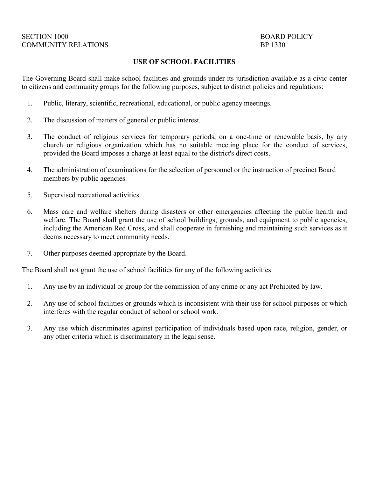#### **USE OF SCHOOL FACILITIES**

The Governing Board shall make school facilities and grounds under its jurisdiction available as a civic center to citizens and community groups for the following purposes, subject to district policies and regulations:

- 1. Public, literary, scientific, recreational, educational, or public agency meetings.
- 2. The discussion of matters of general or public interest.
- 3. The conduct of religious services for temporary periods, on a one-time or renewable basis, by any church or religious organization which has no suitable meeting place for the conduct of services, provided the Board imposes a charge at least equal to the district's direct costs.
- 4. The administration of examinations for the selection of personnel or the instruction of precinct Board members by public agencies.
- 5. Supervised recreational activities.
- 6. Mass care and welfare shelters during disasters or other emergencies affecting the public health and welfare. The Board shall grant the use of school buildings, grounds, and equipment to public agencies, including the American Red Cross, and shall cooperate in furnishing and maintaining such services as it deems necessary to meet community needs.
- 7. Other purposes deemed appropriate by the Board.

The Board shall not grant the use of school facilities for any of the following activities:

- 1. Any use by an individual or group for the commission of any crime or any act Prohibited by law.
- 2. Any use of school facilities or grounds which is inconsistent with their use for school purposes or which interferes with the regular conduct of school or school work.
- 3. Any use which discriminates against participation of individuals based upon race, religion, gender, or any other criteria which is discriminatory in the legal sense.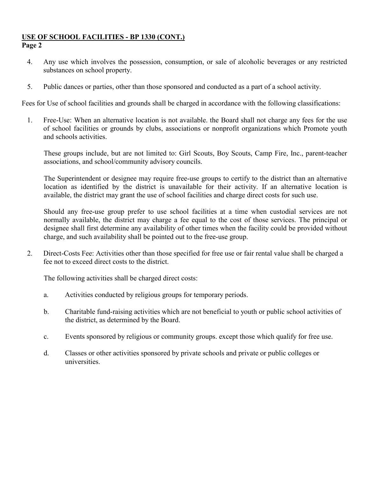- 4. Any use which involves the possession, consumption, or sale of alcoholic beverages or any restricted substances on school property.
- 5. Public dances or parties, other than those sponsored and conducted as a part of a school activity.

Fees for Use of school facilities and grounds shall be charged in accordance with the following classifications:

1. Free-Use: When an alternative location is not available. the Board shall not charge any fees for the use of school facilities or grounds by clubs, associations or nonprofit organizations which Promote youth and schools activities.

These groups include, but are not limited to: Girl Scouts, Boy Scouts, Camp Fire, Inc., parent-teacher associations, and school/community advisory councils.

The Superintendent or designee may require free-use groups to certify to the district than an alternative location as identified by the district is unavailable for their activity. If an alternative location is available, the district may grant the use of school facilities and charge direct costs for such use.

Should any free-use group prefer to use school facilities at a time when custodial services are not normally available, the district may charge a fee equal to the cost of those services. The principal or designee shall first determine any availability of other times when the facility could be provided without charge, and such availability shall be pointed out to the free-use group.

2. Direct-Costs Fee: Activities other than those specified for free use or fair rental value shall be charged a fee not to exceed direct costs to the district.

The following activities shall be charged direct costs:

- a. Activities conducted by religious groups for temporary periods.
- b. Charitable fund-raising activities which are not beneficial to youth or public school activities of the district, as determined by the Board.
- c. Events sponsored by religious or community groups. except those which qualify for free use.
- d. Classes or other activities sponsored by private schools and private or public colleges or universities.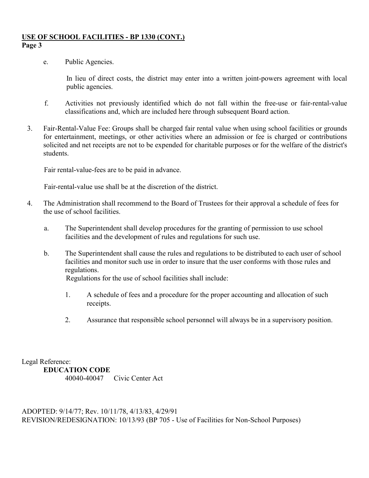e. Public Agencies.

In lieu of direct costs, the district may enter into a written joint-powers agreement with local public agencies.

- f. Activities not previously identified which do not fall within the free-use or fair-rental-value classifications and, which are included here through subsequent Board action.
- 3. Fair-Rental-Value Fee: Groups shall be charged fair rental value when using school facilities or grounds for entertainment, meetings, or other activities where an admission or fee is charged or contributions solicited and net receipts are not to be expended for charitable purposes or for the welfare of the district's students.

Fair rental-value-fees are to be paid in advance.

Fair-rental-value use shall be at the discretion of the district.

- 4. The Administration shall recommend to the Board of Trustees for their approval a schedule of fees for the use of school facilities.
	- a. The Superintendent shall develop procedures for the granting of permission to use school facilities and the development of rules and regulations for such use.
	- b. The Superintendent shall cause the rules and regulations to be distributed to each user of school facilities and monitor such use in order to insure that the user conforms with those rules and regulations.

Regulations for the use of school facilities shall include:

- 1. A schedule of fees and a procedure for the proper accounting and allocation of such receipts.
- 2. Assurance that responsible school personnel will always be in a supervisory position.

Legal Reference: **EDUCATION CODE**  40040-40047 Civic Center Act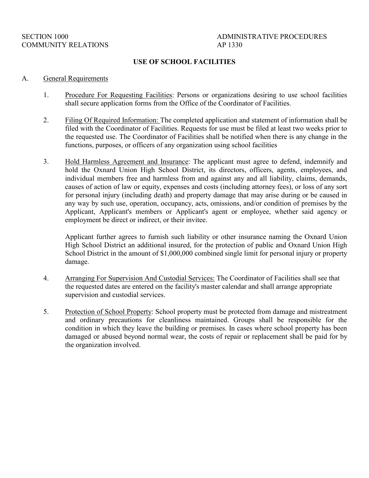# SECTION 1000 ADMINISTRATIVE PROCEDURES

#### **USE OF SCHOOL FACILITIES**

#### A. General Requirements

- 1. Procedure For Requesting Facilities: Persons or organizations desiring to use school facilities shall secure application forms from the Office of the Coordinator of Facilities.
- 2. Filing Of Required Information: The completed application and statement of information shall be filed with the Coordinator of Facilities. Requests for use must be filed at least two weeks prior to the requested use. The Coordinator of Facilities shall be notified when there is any change in the functions, purposes, or officers of any organization using school facilities
- 3. Hold Harmless Agreement and Insurance: The applicant must agree to defend, indemnify and hold the Oxnard Union High School District, its directors, officers, agents, employees, and individual members free and harmless from and against any and all liability, claims, demands, causes of action of law or equity, expenses and costs (including attorney fees), or loss of any sort for personal injury (including death) and property damage that may arise during or be caused in any way by such use, operation, occupancy, acts, omissions, and/or condition of premises by the Applicant, Applicant's members or Applicant's agent or employee, whether said agency or employment be direct or indirect, or their invitee.

Applicant further agrees to furnish such liability or other insurance naming the Oxnard Union High School District an additional insured, for the protection of public and Oxnard Union High School District in the amount of \$1,000,000 combined single limit for personal injury or property damage.

- 4. Arranging For Supervision And Custodial Services: The Coordinator of Facilities shall see that the requested dates are entered on the facility's master calendar and shall arrange appropriate supervision and custodial services.
- 5. Protection of School Property: School property must be protected from damage and mistreatment and ordinary precautions for cleanliness maintained. Groups shall be responsible for the condition in which they leave the building or premises. In cases where school property has been damaged or abused beyond normal wear, the costs of repair or replacement shall be paid for by the organization involved.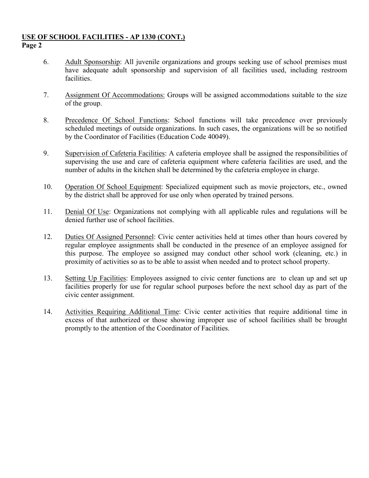- 6. Adult Sponsorship: All juvenile organizations and groups seeking use of school premises must have adequate adult sponsorship and supervision of all facilities used, including restroom facilities.
- 7. Assignment Of Accommodations: Groups will be assigned accommodations suitable to the size of the group.
- 8. Precedence Of School Functions: School functions will take precedence over previously scheduled meetings of outside organizations. In such cases, the organizations will be so notified by the Coordinator of Facilities (Education Code 40049).
- 9. Supervision of Cafeteria Facilities: A cafeteria employee shall be assigned the responsibilities of supervising the use and care of cafeteria equipment where cafeteria facilities are used, and the number of adults in the kitchen shall be determined by the cafeteria employee in charge.
- 10. Operation Of School Equipment: Specialized equipment such as movie projectors, etc., owned by the district shall be approved for use only when operated by trained persons.
- 11. Denial Of Use: Organizations not complying with all applicable rules and regulations will be denied further use of school facilities.
- 12. Duties Of Assigned Personnel: Civic center activities held at times other than hours covered by regular employee assignments shall be conducted in the presence of an employee assigned for this purpose. The employee so assigned may conduct other school work (cleaning, etc.) in proximity of activities so as to be able to assist when needed and to protect school property.
- 13. Setting Up Facilities: Employees assigned to civic center functions are to clean up and set up facilities properly for use for regular school purposes before the next school day as part of the civic center assignment.
- 14. Activities Requiring Additional Time: Civic center activities that require additional time in excess of that authorized or those showing improper use of school facilities shall be brought promptly to the attention of the Coordinator of Facilities.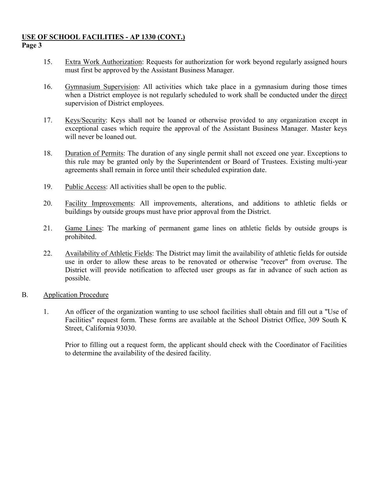- 15. Extra Work Authorization: Requests for authorization for work beyond regularly assigned hours must first be approved by the Assistant Business Manager.
- 16. Gymnasium Supervision: All activities which take place in a gymnasium during those times when a District employee is not regularly scheduled to work shall be conducted under the direct supervision of District employees.
- 17. Keys/Security: Keys shall not be loaned or otherwise provided to any organization except in exceptional cases which require the approval of the Assistant Business Manager. Master keys will never be loaned out.
- 18. Duration of Permits: The duration of any single permit shall not exceed one year. Exceptions to this rule may be granted only by the Superintendent or Board of Trustees. Existing multi-year agreements shall remain in force until their scheduled expiration date.
- 19. Public Access: All activities shall be open to the public.
- 20. Facility Improvements: All improvements, alterations, and additions to athletic fields or buildings by outside groups must have prior approval from the District.
- 21. Game Lines: The marking of permanent game lines on athletic fields by outside groups is prohibited.
- 22. Availability of Athletic Fields: The District may limit the availability of athletic fields for outside use in order to allow these areas to be renovated or otherwise "recover" from overuse. The District will provide notification to affected user groups as far in advance of such action as possible.
- B. Application Procedure
	- 1. An officer of the organization wanting to use school facilities shall obtain and fill out a "Use of Facilities" request form. These forms are available at the School District Office, 309 South K Street, California 93030.

Prior to filling out a request form, the applicant should check with the Coordinator of Facilities to determine the availability of the desired facility.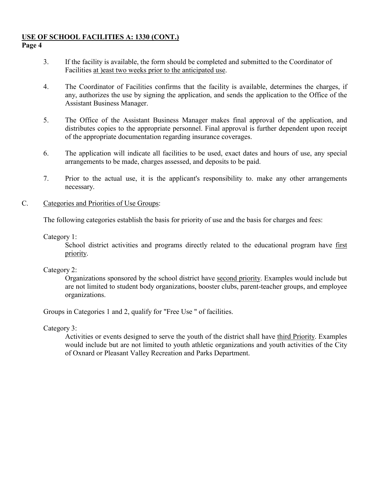- 3. If the facility is available, the form should be completed and submitted to the Coordinator of Facilities at )east two weeks prior to the anticipated use.
- 4. The Coordinator of Facilities confirms that the facility is available, determines the charges, if any, authorizes the use by signing the application, and sends the application to the Office of the Assistant Business Manager.
- 5. The Office of the Assistant Business Manager makes final approval of the application, and distributes copies to the appropriate personnel. Final approval is further dependent upon receipt of the appropriate documentation regarding insurance coverages.
- 6. The application will indicate all facilities to be used, exact dates and hours of use, any special arrangements to be made, charges assessed, and deposits to be paid.
- 7. Prior to the actual use, it is the applicant's responsibility to. make any other arrangements necessary.

## C. Categories and Priorities of Use Groups:

The following categories establish the basis for priority of use and the basis for charges and fees:

# Category 1:

School district activities and programs directly related to the educational program have first priority.

## Category 2:

Organizations sponsored by the school district have second priority. Examples would include but are not limited to student body organizations, booster clubs, parent-teacher groups, and employee organizations.

Groups in Categories 1 and 2, qualify for "Free Use " of facilities.

Category 3:

Activities or events designed to serve the youth of the district shall have third Priority. Examples would include but are not limited to youth athletic organizations and youth activities of the City of Oxnard or Pleasant Valley Recreation and Parks Department.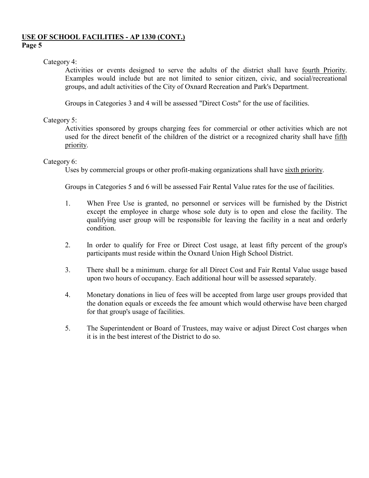## Category 4:

Activities or events designed to serve the adults of the district shall have fourth Priority. Examples would include but are not limited to senior citizen, civic, and social/recreational groups, and adult activities of the City of Oxnard Recreation and Park's Department.

Groups in Categories 3 and 4 will be assessed "Direct Costs" for the use of facilities.

# Category 5:

Activities sponsored by groups charging fees for commercial or other activities which are not used for the direct benefit of the children of the district or a recognized charity shall have fifth priority.

# Category 6:

Uses by commercial groups or other profit-making organizations shall have sixth priority.

Groups in Categories 5 and 6 will be assessed Fair Rental Value rates for the use of facilities.

- 1. When Free Use is granted, no personnel or services will be furnished by the District except the employee in charge whose sole duty is to open and close the facility. The qualifying user group will be responsible for leaving the facility in a neat and orderly condition.
- 2. In order to qualify for Free or Direct Cost usage, at least fifty percent of the group's participants must reside within the Oxnard Union High School District.
- 3. There shall be a minimum. charge for all Direct Cost and Fair Rental Value usage based upon two hours of occupancy. Each additional hour will be assessed separately.
- 4. Monetary donations in lieu of fees will be accepted from large user groups provided that the donation equals or exceeds the fee amount which would otherwise have been charged for that group's usage of facilities.
- 5. The Superintendent or Board of Trustees, may waive or adjust Direct Cost charges when it is in the best interest of the District to do so.